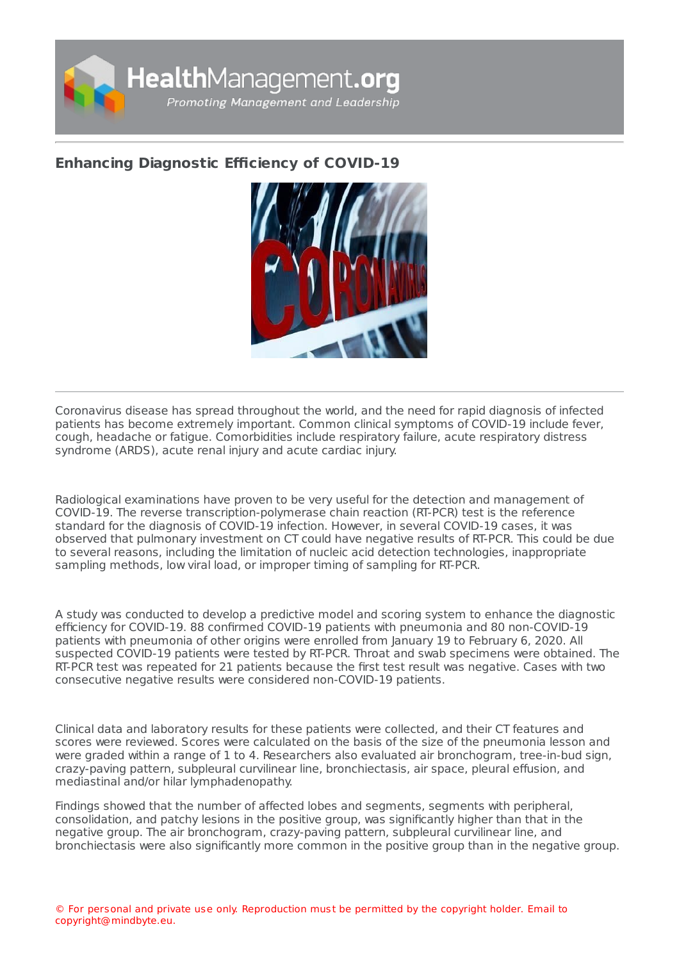

## **Enhancing [Diagnostic](https://healthmanagement.org/s/enhancing-diagnostic-efficiency-of-covid-19) Efficiency of COVID-19**



Coronavirus disease has spread throughout the world, and the need for rapid diagnosis of infected patients has become extremely important. Common clinical symptoms of COVID-19 include fever, cough, headache or fatigue. Comorbidities include respiratory failure, acute respiratory distress syndrome (ARDS), acute renal injury and acute cardiac injury.

Radiological examinations have proven to be very useful for the detection and management of COVID-19. The reverse transcription-polymerase chain reaction (RT-PCR) test is the reference standard for the diagnosis of COVID-19 infection. However, in several COVID-19 cases, it was observed that pulmonary investment on CT could have negative results of RT-PCR. This could be due to several reasons, including the limitation of nucleic acid detection technologies, inappropriate sampling methods, low viral load, or improper timing of sampling for RT-PCR.

A study was conducted to develop a predictive model and scoring system to enhance the diagnostic efficiency for COVID-19. 88 confirmed COVID-19 patients with pneumonia and 80 non-COVID-19 patients with pneumonia of other origins were enrolled from January 19 to February 6, 2020. All suspected COVID-19 patients were tested by RT-PCR. Throat and swab specimens were obtained. The RT-PCR test was repeated for 21 patients because the first test result was negative. Cases with two consecutive negative results were considered non-COVID-19 patients.

Clinical data and laboratory results for these patients were collected, and their CT features and scores were reviewed. Scores were calculated on the basis of the size of the pneumonia lesson and were graded within a range of 1 to 4. Researchers also evaluated air bronchogram, tree-in-bud sign, crazy-paving pattern, subpleural curvilinear line, bronchiectasis, air space, pleural effusion, and mediastinal and/or hilar lymphadenopathy.

Findings showed that the number of affected lobes and segments, segments with peripheral, consolidation, and patchy lesions in the positive group, was significantly higher than that in the negative group. The air bronchogram, crazy-paving pattern, subpleural curvilinear line, and bronchiectasis were also significantly more common in the positive group than in the negative group.